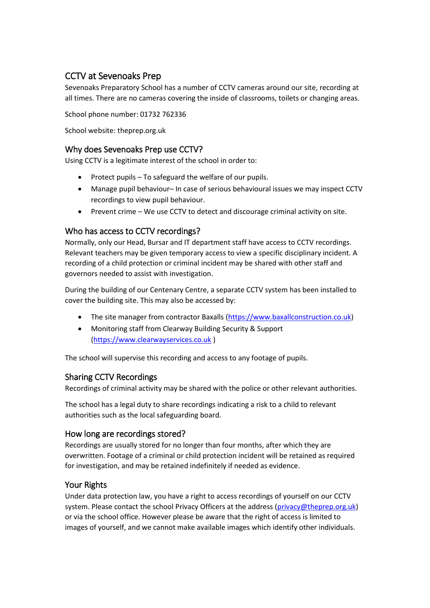# CCTV at Sevenoaks Prep

Sevenoaks Preparatory School has a number of CCTV cameras around our site, recording at all times. There are no cameras covering the inside of classrooms, toilets or changing areas.

School phone number: 01732 762336

School website: theprep.org.uk

### Why does Sevenoaks Prep use CCTV?

Using CCTV is a legitimate interest of the school in order to:

- Protect pupils To safeguard the welfare of our pupils.
- Manage pupil behaviour– In case of serious behavioural issues we may inspect CCTV recordings to view pupil behaviour.
- Prevent crime We use CCTV to detect and discourage criminal activity on site.

### Who has access to CCTV recordings?

Normally, only our Head, Bursar and IT department staff have access to CCTV recordings. Relevant teachers may be given temporary access to view a specific disciplinary incident. A recording of a child protection or criminal incident may be shared with other staff and governors needed to assist with investigation.

During the building of our Centenary Centre, a separate CCTV system has been installed to cover the building site. This may also be accessed by:

- The site manager from contractor Baxalls [\(https://www.baxallconstruction.co.uk\)](https://www.baxallconstruction.co.uk/)
- Monitoring staff from Clearway Building Security & Support (https://www.clearwayservices.co.uk )

The school will supervise this recording and access to any footage of pupils.

# Sharing CCTV Recordings

Recordings of criminal activity may be shared with the police or other relevant authorities.

The school has a legal duty to share recordings indicating a risk to a child to relevant authorities such as the local safeguarding board.

#### How long are recordings stored?

Recordings are usually stored for no longer than four months, after which they are overwritten. Footage of a criminal or child protection incident will be retained as required for investigation, and may be retained indefinitely if needed as evidence.

# Your Rights

Under data protection law, you have a right to access recordings of yourself on our CCTV system. Please contact the school Privacy Officers at the address [\(privacy@theprep.org.uk\)](mailto:privacy@theprep.org.uk) or via the school office. However please be aware that the right of access is limited to images of yourself, and we cannot make available images which identify other individuals.